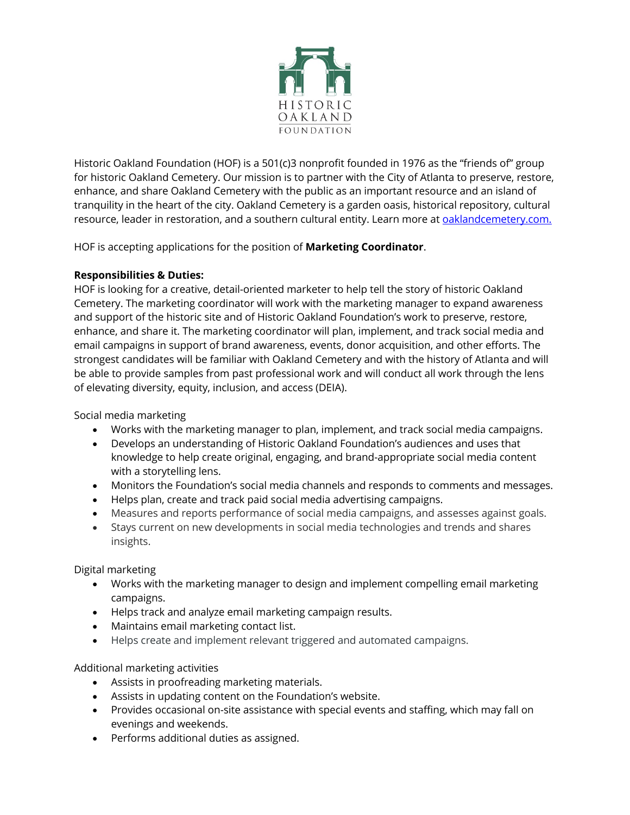

Historic Oakland Foundation (HOF) is a 501(c)3 nonprofit founded in 1976 as the "friends of" group for historic Oakland Cemetery. Our mission is to partner with the City of Atlanta to preserve, restore, enhance, and share Oakland Cemetery with the public as an important resource and an island of tranquility in the heart of the city. Oakland Cemetery is a garden oasis, historical repository, cultural resource, leader in restoration, and a southern cultural entity. Learn more at **oaklandcemetery.com.** 

HOF is accepting applications for the position of **Marketing Coordinator**.

# **Responsibilities & Duties:**

HOF is looking for a creative, detail-oriented marketer to help tell the story of historic Oakland Cemetery. The marketing coordinator will work with the marketing manager to expand awareness and support of the historic site and of Historic Oakland Foundation's work to preserve, restore, enhance, and share it. The marketing coordinator will plan, implement, and track social media and email campaigns in support of brand awareness, events, donor acquisition, and other efforts. The strongest candidates will be familiar with Oakland Cemetery and with the history of Atlanta and will be able to provide samples from past professional work and will conduct all work through the lens of elevating diversity, equity, inclusion, and access (DEIA).

Social media marketing

- Works with the marketing manager to plan, implement, and track social media campaigns.
- Develops an understanding of Historic Oakland Foundation's audiences and uses that knowledge to help create original, engaging, and brand-appropriate social media content with a storytelling lens.
- Monitors the Foundation's social media channels and responds to comments and messages.
- Helps plan, create and track paid social media advertising campaigns.
- Measures and reports performance of social media campaigns, and assesses against goals.
- Stays current on new developments in social media technologies and trends and shares insights.

Digital marketing

- Works with the marketing manager to design and implement compelling email marketing campaigns.
- Helps track and analyze email marketing campaign results.
- Maintains email marketing contact list.
- Helps create and implement relevant triggered and automated campaigns.

Additional marketing activities

- Assists in proofreading marketing materials.
- Assists in updating content on the Foundation's website.
- Provides occasional on-site assistance with special events and staffing, which may fall on evenings and weekends.
- Performs additional duties as assigned.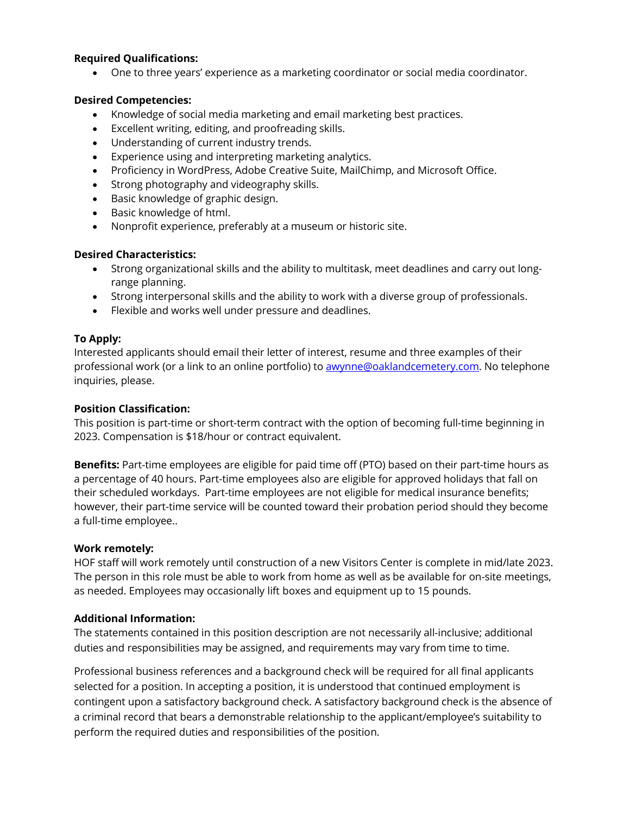#### **Required Qualifications:**

• One to three years' experience as a marketing coordinator or social media coordinator.

#### **Desired Competencies:**

- Knowledge of social media marketing and email marketing best practices.
- Excellent writing, editing, and proofreading skills.
- Understanding of current industry trends.
- Experience using and interpreting marketing analytics.
- Proficiency in WordPress, Adobe Creative Suite, MailChimp, and Microsoft Office.
- Strong photography and videography skills.
- Basic knowledge of graphic design.
- Basic knowledge of html.
- Nonprofit experience, preferably at a museum or historic site.

# **Desired Characteristics:**

- Strong organizational skills and the ability to multitask, meet deadlines and carry out longrange planning.
- Strong interpersonal skills and the ability to work with a diverse group of professionals.
- Flexible and works well under pressure and deadlines.

# **To Apply:**

Interested applicants should email their letter of interest, resume and three examples of their professional work (or a link to an online portfolio) to **awynne@oaklandcemetery.com**. No telephone inquiries, please.

#### **Position Classification:**

This position is part-time or short-term contract with the option of becoming full-time beginning in 2023. Compensation is \$18/hour or contract equivalent.

**Benefits:** Part-time employees are eligible for paid time off (PTO) based on their part-time hours as a percentage of 40 hours. Part-time employees also are eligible for approved holidays that fall on their scheduled workdays. Part-time employees are not eligible for medical insurance benefits; however, their part-time service will be counted toward their probation period should they become a full-time employee..

# **Work remotely:**

HOF staff will work remotely until construction of a new Visitors Center is complete in mid/late 2023. The person in this role must be able to work from home as well as be available for on-site meetings, as needed. Employees may occasionally lift boxes and equipment up to 15 pounds.

# **Additional Information:**

The statements contained in this position description are not necessarily all-inclusive; additional duties and responsibilities may be assigned, and requirements may vary from time to time.

Professional business references and a background check will be required for all final applicants selected for a position. In accepting a position, it is understood that continued employment is contingent upon a satisfactory background check. A satisfactory background check is the absence of a criminal record that bears a demonstrable relationship to the applicant/employee's suitability to perform the required duties and responsibilities of the position.